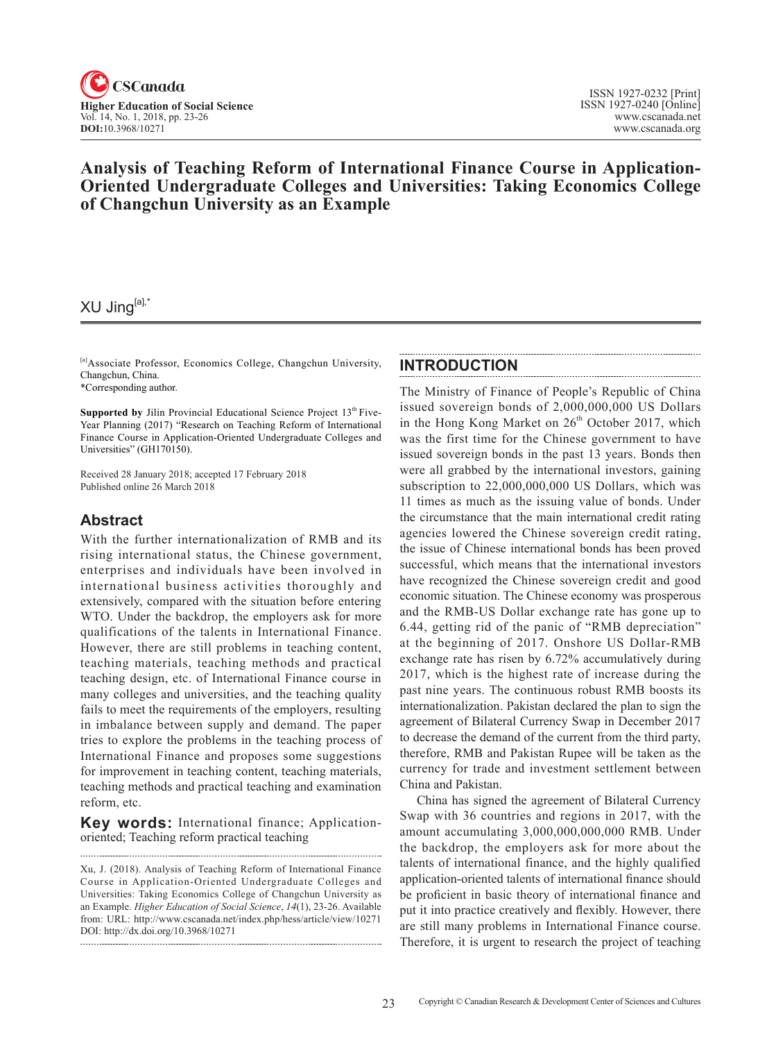

# **Analysis of Teaching Reform of International Finance Course in Application-Oriented Undergraduate Colleges and Universities: Taking Economics College of Changchun University as an Example**

# XU Jing[a],\*

[a]Associate Professor, Economics College, Changchun University, Changchun, China.

\*Corresponding author.

**Supported by** Jilin Provincial Educational Science Project 13<sup>th</sup> Five-Year Planning (2017) "Research on Teaching Reform of International Finance Course in Application-Oriented Undergraduate Colleges and Universities" (GH170150).

Received 28 January 2018; accepted 17 February 2018 Published online 26 March 2018

# **Abstract**

With the further internationalization of RMB and its rising international status, the Chinese government, enterprises and individuals have been involved in international business activities thoroughly and extensively, compared with the situation before entering WTO. Under the backdrop, the employers ask for more qualifications of the talents in International Finance. However, there are still problems in teaching content, teaching materials, teaching methods and practical teaching design, etc. of International Finance course in many colleges and universities, and the teaching quality fails to meet the requirements of the employers, resulting in imbalance between supply and demand. The paper tries to explore the problems in the teaching process of International Finance and proposes some suggestions for improvement in teaching content, teaching materials, teaching methods and practical teaching and examination reform, etc.

**Key words:** International finance; Applicationoriented; Teaching reform practical teaching

Xu, J. (2018). Analysis of Teaching Reform of International Finance Course in Application-Oriented Undergraduate Colleges and Universities: Taking Economics College of Changchun University as an Example. *Higher Education of Social Science*, 14(1), 23-26. Available from: URL: http://www.cscanada.net/index.php/hess/article/view/10271 DOI: http://dx.doi.org/10.3968/10271

## **INTRODUCTION**

The Ministry of Finance of People's Republic of China issued sovereign bonds of 2,000,000,000 US Dollars in the Hong Kong Market on  $26<sup>th</sup>$  October 2017, which was the first time for the Chinese government to have issued sovereign bonds in the past 13 years. Bonds then were all grabbed by the international investors, gaining subscription to 22,000,000,000 US Dollars, which was 11 times as much as the issuing value of bonds. Under the circumstance that the main international credit rating agencies lowered the Chinese sovereign credit rating, the issue of Chinese international bonds has been proved successful, which means that the international investors have recognized the Chinese sovereign credit and good economic situation. The Chinese economy was prosperous and the RMB-US Dollar exchange rate has gone up to 6.44, getting rid of the panic of "RMB depreciation" at the beginning of 2017. Onshore US Dollar-RMB exchange rate has risen by 6.72% accumulatively during 2017, which is the highest rate of increase during the past nine years. The continuous robust RMB boosts its internationalization. Pakistan declared the plan to sign the agreement of Bilateral Currency Swap in December 2017 to decrease the demand of the current from the third party, therefore, RMB and Pakistan Rupee will be taken as the currency for trade and investment settlement between China and Pakistan.

China has signed the agreement of Bilateral Currency Swap with 36 countries and regions in 2017, with the amount accumulating 3,000,000,000,000 RMB. Under the backdrop, the employers ask for more about the talents of international finance, and the highly qualified application-oriented talents of international finance should be proficient in basic theory of international finance and put it into practice creatively and flexibly. However, there are still many problems in International Finance course. Therefore, it is urgent to research the project of teaching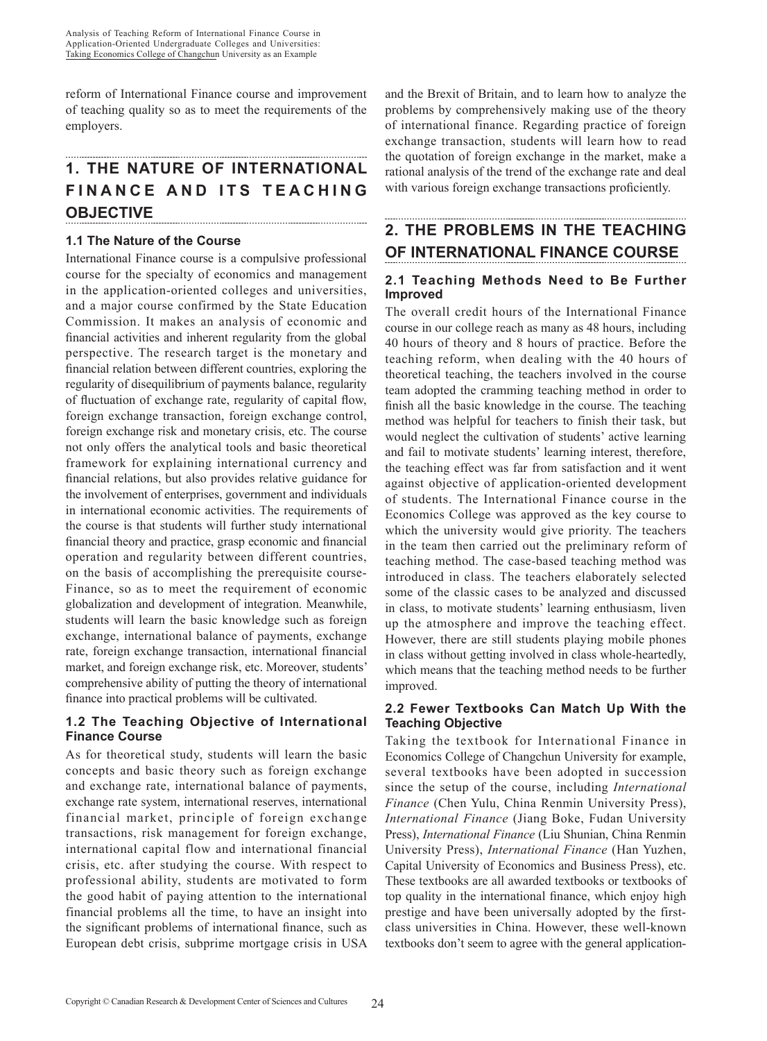reform of International Finance course and improvement of teaching quality so as to meet the requirements of the employers.

#### **1. THE NATURE OF INTERNATIONAL FINANCE AND ITS TEACHING OBJECTIVE**

# **1.1 The Nature of the Course**

International Finance course is a compulsive professional course for the specialty of economics and management in the application-oriented colleges and universities, and a major course confirmed by the State Education Commission. It makes an analysis of economic and financial activities and inherent regularity from the global perspective. The research target is the monetary and financial relation between different countries, exploring the regularity of disequilibrium of payments balance, regularity of fluctuation of exchange rate, regularity of capital flow, foreign exchange transaction, foreign exchange control, foreign exchange risk and monetary crisis, etc. The course not only offers the analytical tools and basic theoretical framework for explaining international currency and financial relations, but also provides relative guidance for the involvement of enterprises, government and individuals in international economic activities. The requirements of the course is that students will further study international financial theory and practice, grasp economic and financial operation and regularity between different countries, on the basis of accomplishing the prerequisite course-Finance, so as to meet the requirement of economic globalization and development of integration. Meanwhile, students will learn the basic knowledge such as foreign exchange, international balance of payments, exchange rate, foreign exchange transaction, international financial market, and foreign exchange risk, etc. Moreover, students' comprehensive ability of putting the theory of international finance into practical problems will be cultivated.

# **1.2 The Teaching Objective of International Finance Course**

As for theoretical study, students will learn the basic concepts and basic theory such as foreign exchange and exchange rate, international balance of payments, exchange rate system, international reserves, international financial market, principle of foreign exchange transactions, risk management for foreign exchange, international capital flow and international financial crisis, etc. after studying the course. With respect to professional ability, students are motivated to form the good habit of paying attention to the international financial problems all the time, to have an insight into the significant problems of international finance, such as European debt crisis, subprime mortgage crisis in USA and the Brexit of Britain, and to learn how to analyze the problems by comprehensively making use of the theory of international finance. Regarding practice of foreign exchange transaction, students will learn how to read the quotation of foreign exchange in the market, make a rational analysis of the trend of the exchange rate and deal with various foreign exchange transactions proficiently.

# **2. THE PROBLEMS IN THE TEACHING OF INTERNATIONAL FINANCE COURSE**

## **2.1 Teaching Methods Need to Be Further Improved**

The overall credit hours of the International Finance course in our college reach as many as 48 hours, including 40 hours of theory and 8 hours of practice. Before the teaching reform, when dealing with the 40 hours of theoretical teaching, the teachers involved in the course team adopted the cramming teaching method in order to finish all the basic knowledge in the course. The teaching method was helpful for teachers to finish their task, but would neglect the cultivation of students' active learning and fail to motivate students' learning interest, therefore, the teaching effect was far from satisfaction and it went against objective of application-oriented development of students. The International Finance course in the Economics College was approved as the key course to which the university would give priority. The teachers in the team then carried out the preliminary reform of teaching method. The case-based teaching method was introduced in class. The teachers elaborately selected some of the classic cases to be analyzed and discussed in class, to motivate students' learning enthusiasm, liven up the atmosphere and improve the teaching effect. However, there are still students playing mobile phones in class without getting involved in class whole-heartedly, which means that the teaching method needs to be further improved.

## **2.2 Fewer Textbooks Can Match Up With the Teaching Objective**

Taking the textbook for International Finance in Economics College of Changchun University for example, several textbooks have been adopted in succession since the setup of the course, including *International Finance* (Chen Yulu, China Renmin University Press), *International Finance* (Jiang Boke, Fudan University Press), *International Finance* (Liu Shunian, China Renmin University Press), *International Finance* (Han Yuzhen, Capital University of Economics and Business Press), etc. These textbooks are all awarded textbooks or textbooks of top quality in the international finance, which enjoy high prestige and have been universally adopted by the firstclass universities in China. However, these well-known textbooks don't seem to agree with the general application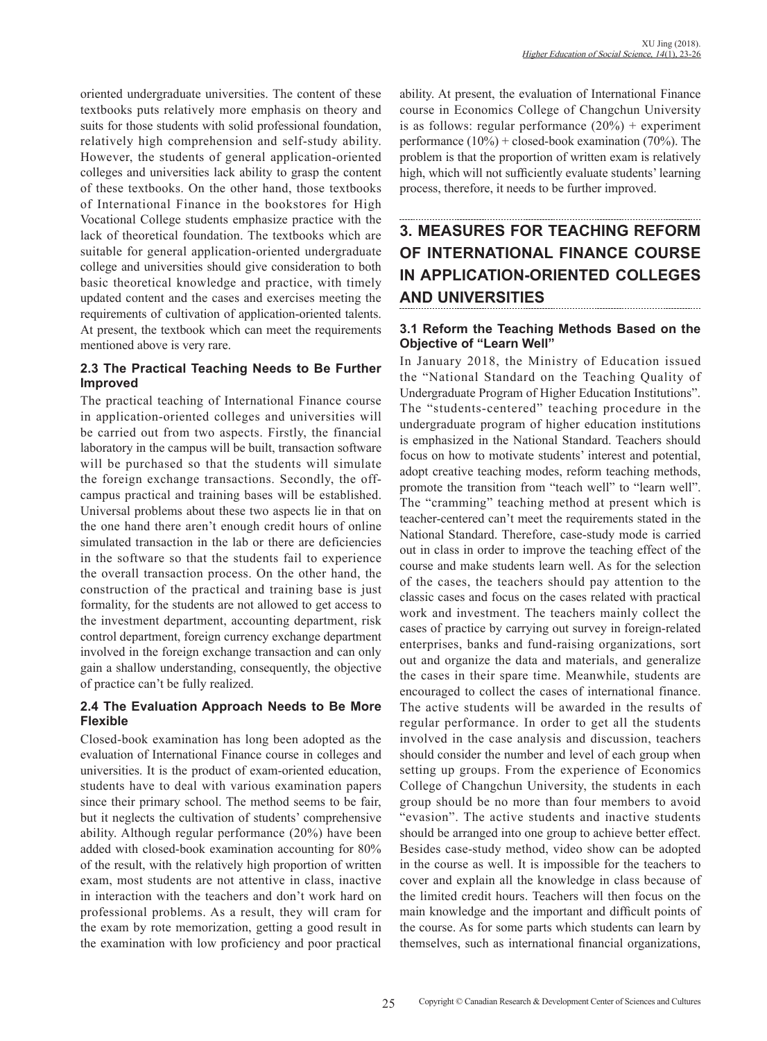oriented undergraduate universities. The content of these textbooks puts relatively more emphasis on theory and suits for those students with solid professional foundation, relatively high comprehension and self-study ability. However, the students of general application-oriented colleges and universities lack ability to grasp the content of these textbooks. On the other hand, those textbooks of International Finance in the bookstores for High Vocational College students emphasize practice with the lack of theoretical foundation. The textbooks which are suitable for general application-oriented undergraduate college and universities should give consideration to both basic theoretical knowledge and practice, with timely updated content and the cases and exercises meeting the requirements of cultivation of application-oriented talents. At present, the textbook which can meet the requirements mentioned above is very rare.

#### **2.3 The Practical Teaching Needs to Be Further Improved**

The practical teaching of International Finance course in application-oriented colleges and universities will be carried out from two aspects. Firstly, the financial laboratory in the campus will be built, transaction software will be purchased so that the students will simulate the foreign exchange transactions. Secondly, the offcampus practical and training bases will be established. Universal problems about these two aspects lie in that on the one hand there aren't enough credit hours of online simulated transaction in the lab or there are deficiencies in the software so that the students fail to experience the overall transaction process. On the other hand, the construction of the practical and training base is just formality, for the students are not allowed to get access to the investment department, accounting department, risk control department, foreign currency exchange department involved in the foreign exchange transaction and can only gain a shallow understanding, consequently, the objective of practice can't be fully realized.

#### **2.4 The Evaluation Approach Needs to Be More Flexible**

Closed-book examination has long been adopted as the evaluation of International Finance course in colleges and universities. It is the product of exam-oriented education, students have to deal with various examination papers since their primary school. The method seems to be fair, but it neglects the cultivation of students' comprehensive ability. Although regular performance (20%) have been added with closed-book examination accounting for 80% of the result, with the relatively high proportion of written exam, most students are not attentive in class, inactive in interaction with the teachers and don't work hard on professional problems. As a result, they will cram for the exam by rote memorization, getting a good result in the examination with low proficiency and poor practical

ability. At present, the evaluation of International Finance course in Economics College of Changchun University is as follows: regular performance  $(20\%)$  + experiment performance  $(10\%)$  + closed-book examination  $(70\%)$ . The problem is that the proportion of written exam is relatively high, which will not sufficiently evaluate students' learning process, therefore, it needs to be further improved.

# **3. MEASURES FOR TEACHING REFORM OF INTERNATIONAL FINANCE COURSE IN APPLICATION-ORIENTED COLLEGES AND UNIVERSITIES**

## **3.1 Reform the Teaching Methods Based on the Objective of "Learn Well"**

In January 2018, the Ministry of Education issued the "National Standard on the Teaching Quality of Undergraduate Program of Higher Education Institutions". The "students-centered" teaching procedure in the undergraduate program of higher education institutions is emphasized in the National Standard. Teachers should focus on how to motivate students' interest and potential, adopt creative teaching modes, reform teaching methods, promote the transition from "teach well" to "learn well". The "cramming" teaching method at present which is teacher-centered can't meet the requirements stated in the National Standard. Therefore, case-study mode is carried out in class in order to improve the teaching effect of the course and make students learn well. As for the selection of the cases, the teachers should pay attention to the classic cases and focus on the cases related with practical work and investment. The teachers mainly collect the cases of practice by carrying out survey in foreign-related enterprises, banks and fund-raising organizations, sort out and organize the data and materials, and generalize the cases in their spare time. Meanwhile, students are encouraged to collect the cases of international finance. The active students will be awarded in the results of regular performance. In order to get all the students involved in the case analysis and discussion, teachers should consider the number and level of each group when setting up groups. From the experience of Economics College of Changchun University, the students in each group should be no more than four members to avoid "evasion". The active students and inactive students should be arranged into one group to achieve better effect. Besides case-study method, video show can be adopted in the course as well. It is impossible for the teachers to cover and explain all the knowledge in class because of the limited credit hours. Teachers will then focus on the main knowledge and the important and difficult points of the course. As for some parts which students can learn by themselves, such as international financial organizations,